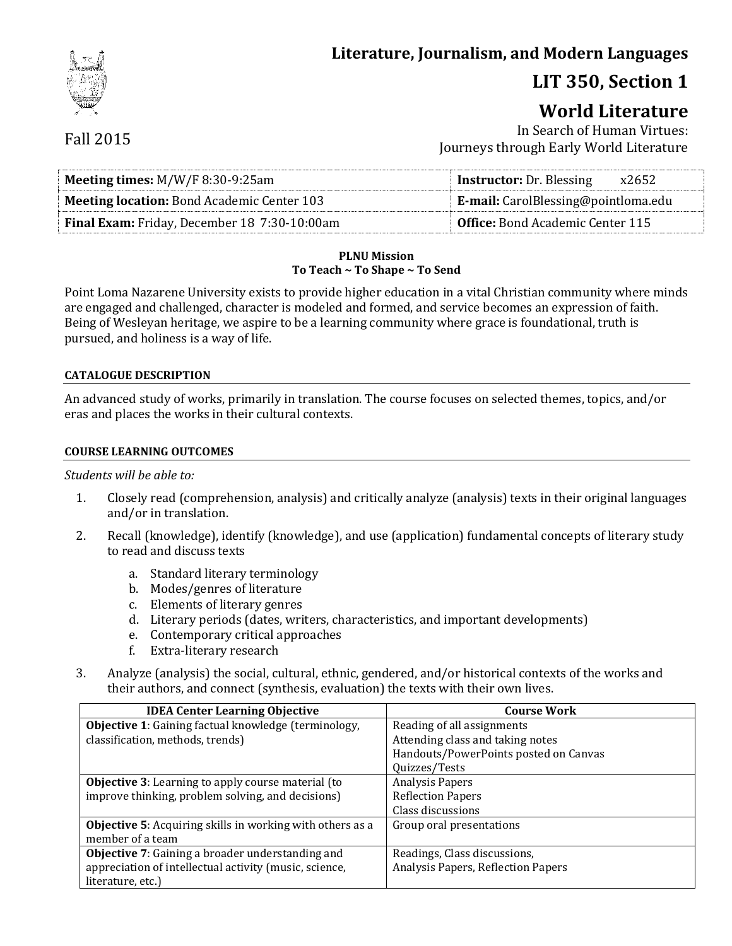# **Literature, Journalism, and Modern Languages**

# **LIT 350, Section 1**

# **World Literature**

## Fall 2015

In Search of Human Virtues: Journeys through Early World Literature

| <b>Meeting times:</b> $M/W/F$ 8:30-9:25am         | <b>Instructor:</b> Dr. Blessing<br>x2652   |  |
|---------------------------------------------------|--------------------------------------------|--|
| <b>Meeting location:</b> Bond Academic Center 103 | <b>E-mail:</b> CarolBlessing@pointloma.edu |  |
| Final Exam: Friday, December 18 7:30-10:00am      | Office: Bond Academic Center 115           |  |

#### **PLNU Mission To Teach ~ To Shape ~ To Send**

Point Loma Nazarene University exists to provide higher education in a vital Christian community where minds are engaged and challenged, character is modeled and formed, and service becomes an expression of faith. Being of Wesleyan heritage, we aspire to be a learning community where grace is foundational, truth is pursued, and holiness is a way of life.

#### **CATALOGUE DESCRIPTION**

An advanced study of works, primarily in translation. The course focuses on selected themes, topics, and/or eras and places the works in their cultural contexts.

#### **COURSE LEARNING OUTCOMES**

#### *Students will be able to:*

- 1. Closely read (comprehension, analysis) and critically analyze (analysis) texts in their original languages and/or in translation.
- 2. Recall (knowledge), identify (knowledge), and use (application) fundamental concepts of literary study to read and discuss texts
	- a. Standard literary terminology
	- b. Modes/genres of literature
	- c. Elements of literary genres
	- d. Literary periods (dates, writers, characteristics, and important developments)
	- e. Contemporary critical approaches
	- f. Extra-literary research
- 3. Analyze (analysis) the social, cultural, ethnic, gendered, and/or historical contexts of the works and their authors, and connect (synthesis, evaluation) the texts with their own lives.

| <b>IDEA Center Learning Objective</b>                     | <b>Course Work</b>                    |
|-----------------------------------------------------------|---------------------------------------|
| Objective 1: Gaining factual knowledge (terminology,      | Reading of all assignments            |
| classification, methods, trends)                          | Attending class and taking notes      |
|                                                           | Handouts/PowerPoints posted on Canvas |
|                                                           | Quizzes/Tests                         |
| <b>Objective 3:</b> Learning to apply course material (to | <b>Analysis Papers</b>                |
| improve thinking, problem solving, and decisions)         | <b>Reflection Papers</b>              |
|                                                           | Class discussions                     |
| Objective 5: Acquiring skills in working with others as a | Group oral presentations              |
| member of a team                                          |                                       |
| <b>Objective 7:</b> Gaining a broader understanding and   | Readings, Class discussions,          |
| appreciation of intellectual activity (music, science,    | Analysis Papers, Reflection Papers    |
| literature, etc.)                                         |                                       |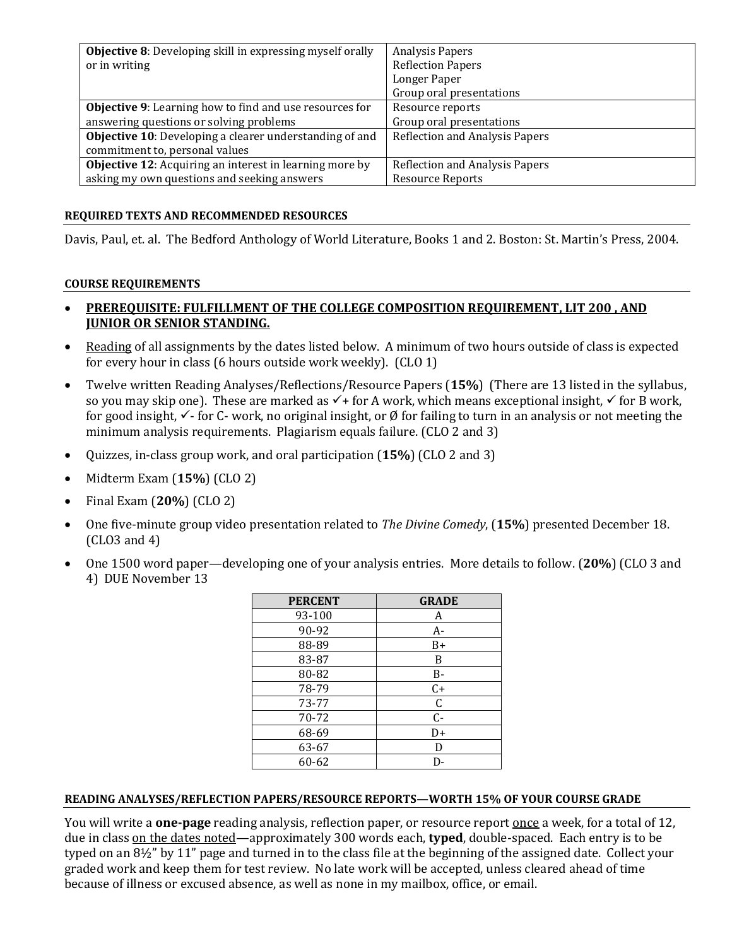| <b>Objective 8:</b> Developing skill in expressing myself orally | <b>Analysis Papers</b>                |
|------------------------------------------------------------------|---------------------------------------|
| or in writing                                                    | <b>Reflection Papers</b>              |
|                                                                  | Longer Paper                          |
|                                                                  | Group oral presentations              |
| <b>Objective 9:</b> Learning how to find and use resources for   | Resource reports                      |
| answering questions or solving problems                          | Group oral presentations              |
| Objective 10: Developing a clearer understanding of and          | <b>Reflection and Analysis Papers</b> |
| commitment to, personal values                                   |                                       |
| <b>Objective 12:</b> Acquiring an interest in learning more by   | Reflection and Analysis Papers        |
| asking my own questions and seeking answers                      | <b>Resource Reports</b>               |

#### **REQUIRED TEXTS AND RECOMMENDED RESOURCES**

Davis, Paul, et. al. The Bedford Anthology of World Literature, Books 1 and 2. Boston: St. Martin's Press, 2004.

#### **COURSE REQUIREMENTS**

#### **PREREQUISITE: FULFILLMENT OF THE COLLEGE COMPOSITION REQUIREMENT, LIT 200 , AND JUNIOR OR SENIOR STANDING.**

- Reading of all assignments by the dates listed below. A minimum of two hours outside of class is expected for every hour in class (6 hours outside work weekly). (CLO 1)
- Twelve written Reading Analyses/Reflections/Resource Papers (**15%**) (There are 13 listed in the syllabus, so you may skip one). These are marked as  $\checkmark$  + for A work, which means exceptional insight,  $\checkmark$  for B work, for good insight,  $\checkmark$ - for C- work, no original insight, or Ø for failing to turn in an analysis or not meeting the minimum analysis requirements. Plagiarism equals failure. (CLO 2 and 3)
- Quizzes, in-class group work, and oral participation (**15%**) (CLO 2 and 3)
- Midterm Exam (**15%**) (CLO 2)
- Final Exam (**20%**) (CLO 2)
- One five-minute group video presentation related to *The Divine Comedy*, (**15%**) presented December 18. (CLO3 and 4)
- One 1500 word paper—developing one of your analysis entries. More details to follow. (**20%**) (CLO 3 and 4) DUE November 13

| <b>PERCENT</b> | <b>GRADE</b> |
|----------------|--------------|
| 93-100         | A            |
| 90-92          | A-           |
| 88-89          | $B+$         |
| 83-87          | B            |
| 80-82          | B-           |
| 78-79          | $C+$         |
| 73-77          | $\mathsf C$  |
| 70-72          | $C -$        |
| 68-69          | D+           |
| 63-67          | D            |
| 60-62          | D-           |

#### **READING ANALYSES/REFLECTION PAPERS/RESOURCE REPORTS—WORTH 15% OF YOUR COURSE GRADE**

You will write a **one-page** reading analysis, reflection paper, or resource report once a week, for a total of 12, due in class on the dates noted—approximately 300 words each, **typed**, double-spaced. Each entry is to be typed on an 8½" by 11" page and turned in to the class file at the beginning of the assigned date. Collect your graded work and keep them for test review. No late work will be accepted, unless cleared ahead of time because of illness or excused absence, as well as none in my mailbox, office, or email.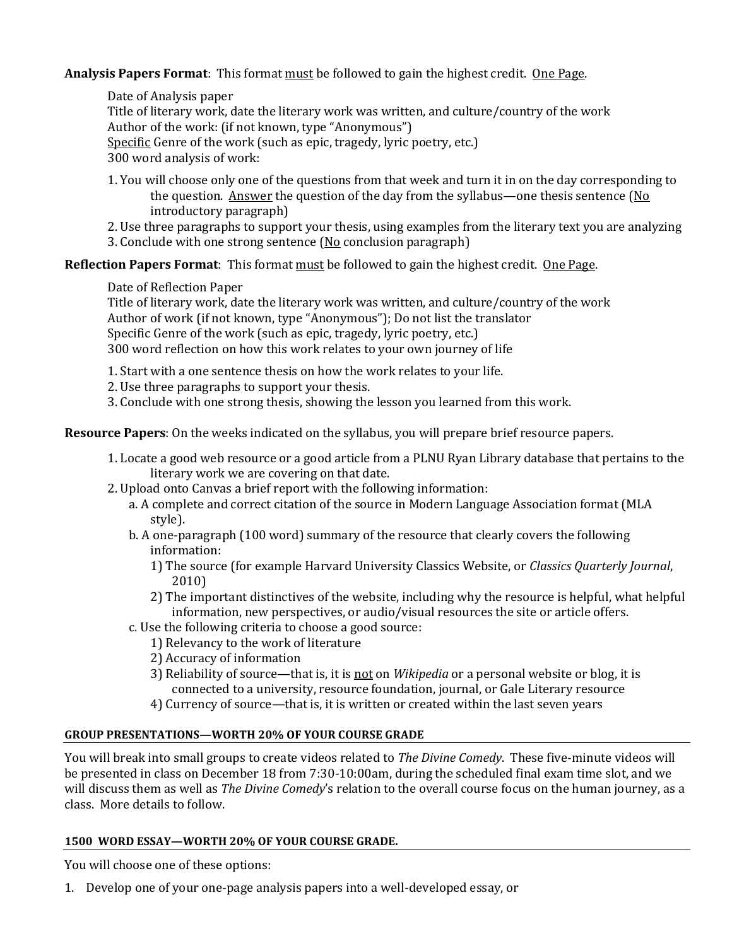**Analysis Papers Format**: This format must be followed to gain the highest credit. One Page.

Date of Analysis paper Title of literary work, date the literary work was written, and culture/country of the work Author of the work: (if not known, type "Anonymous") Specific Genre of the work (such as epic, tragedy, lyric poetry, etc.) 300 word analysis of work:

- 1. You will choose only one of the questions from that week and turn it in on the day corresponding to the question. Answer the question of the day from the syllabus—one thesis sentence  $(N_0)$ introductory paragraph)
- 2. Use three paragraphs to support your thesis, using examples from the literary text you are analyzing 3. Conclude with one strong sentence  $(No$  conclusion paragraph)

**Reflection Papers Format**: This format must be followed to gain the highest credit. One Page.

Date of Reflection Paper

Title of literary work, date the literary work was written, and culture/country of the work Author of work (if not known, type "Anonymous"); Do not list the translator Specific Genre of the work (such as epic, tragedy, lyric poetry, etc.) 300 word reflection on how this work relates to your own journey of life

1. Start with a one sentence thesis on how the work relates to your life.

2. Use three paragraphs to support your thesis.

3. Conclude with one strong thesis, showing the lesson you learned from this work.

**Resource Papers**: On the weeks indicated on the syllabus, you will prepare brief resource papers.

- 1. Locate a good web resource or a good article from a PLNU Ryan Library database that pertains to the literary work we are covering on that date.
- 2. Upload onto Canvas a brief report with the following information:
	- a. A complete and correct citation of the source in Modern Language Association format (MLA style).
	- b. A one-paragraph (100 word) summary of the resource that clearly covers the following information:
		- 1) The source (for example Harvard University Classics Website, or *Classics Quarterly Journal*, 2010)
		- 2) The important distinctives of the website, including why the resource is helpful, what helpful information, new perspectives, or audio/visual resources the site or article offers.
	- c. Use the following criteria to choose a good source:
		- 1) Relevancy to the work of literature
		- 2) Accuracy of information
		- 3) Reliability of source—that is, it is not on *Wikipedia* or a personal website or blog, it is connected to a university, resource foundation, journal, or Gale Literary resource
		- 4) Currency of source—that is, it is written or created within the last seven years

#### **GROUP PRESENTATIONS—WORTH 20% OF YOUR COURSE GRADE**

You will break into small groups to create videos related to *The Divine Comedy*. These five-minute videos will be presented in class on December 18 from 7:30-10:00am, during the scheduled final exam time slot, and we will discuss them as well as *The Divine Comedy*'s relation to the overall course focus on the human journey, as a class. More details to follow.

#### **1500 WORD ESSAY—WORTH 20% OF YOUR COURSE GRADE.**

You will choose one of these options:

1. Develop one of your one-page analysis papers into a well-developed essay, or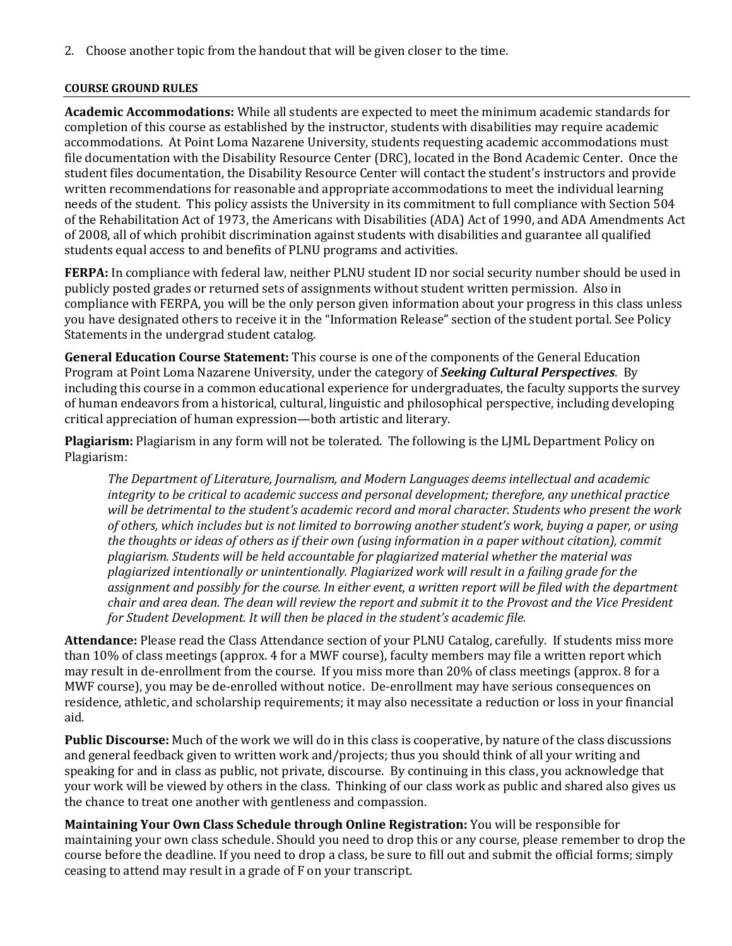2. Choose another topic from the handout that will be given closer to the time.

#### **COURSE GROUND RULES**

**Academic Accommodations:** While all students are expected to meet the minimum academic standards for completion of this course as established by the instructor, students with disabilities may require academic accommodations. At Point Loma Nazarene University, students requesting academic accommodations must file documentation with the Disability Resource Center (DRC), located in the Bond Academic Center. Once the student files documentation, the Disability Resource Center will contact the student's instructors and provide written recommendations for reasonable and appropriate accommodations to meet the individual learning needs of the student. This policy assists the University in its commitment to full compliance with Section 504 of the Rehabilitation Act of 1973, the Americans with Disabilities (ADA) Act of 1990, and ADA Amendments Act of 2008, all of which prohibit discrimination against students with disabilities and guarantee all qualified students equal access to and benefits of PLNU programs and activities.

**FERPA:** In compliance with federal law, neither PLNU student ID nor social security number should be used in publicly posted grades or returned sets of assignments without student written permission. Also in compliance with FERPA, you will be the only person given information about your progress in this class unless you have designated others to receive it in the "Information Release" section of the student portal. See Policy Statements in the undergrad student catalog.

**General Education Course Statement:** This course is one of the components of the General Education Program at Point Loma Nazarene University, under the category of *Seeking Cultural Perspectives*. By including this course in a common educational experience for undergraduates, the faculty supports the survey of human endeavors from a historical, cultural, linguistic and philosophical perspective, including developing critical appreciation of human expression—both artistic and literary.

**Plagiarism:** Plagiarism in any form will not be tolerated. The following is the LJML Department Policy on Plagiarism:

*The Department of Literature, Journalism, and Modern Languages deems intellectual and academic integrity to be critical to academic success and personal development; therefore, any unethical practice will be detrimental to the student's academic record and moral character. Students who present the work of others, which includes but is not limited to borrowing another student's work, buying a paper, or using the thoughts or ideas of others as if their own (using information in a paper without citation), commit plagiarism. Students will be held accountable for plagiarized material whether the material was plagiarized intentionally or unintentionally. Plagiarized work will result in a failing grade for the assignment and possibly for the course. In either event, a written report will be filed with the department chair and area dean. The dean will review the report and submit it to the Provost and the Vice President for Student Development. It will then be placed in the student's academic file.*

**Attendance:** Please read the Class Attendance section of your PLNU Catalog, carefully. If students miss more than 10% of class meetings (approx. 4 for a MWF course), faculty members may file a written report which may result in de-enrollment from the course. If you miss more than 20% of class meetings (approx. 8 for a MWF course), you may be de-enrolled without notice. De-enrollment may have serious consequences on residence, athletic, and scholarship requirements; it may also necessitate a reduction or loss in your financial aid.

**Public Discourse:** Much of the work we will do in this class is cooperative, by nature of the class discussions and general feedback given to written work and/projects; thus you should think of all your writing and speaking for and in class as public, not private, discourse. By continuing in this class, you acknowledge that your work will be viewed by others in the class. Thinking of our class work as public and shared also gives us the chance to treat one another with gentleness and compassion.

**Maintaining Your Own Class Schedule through Online Registration:** You will be responsible for maintaining your own class schedule. Should you need to drop this or any course, please remember to drop the course before the deadline. If you need to drop a class, be sure to fill out and submit the official forms; simply ceasing to attend may result in a grade of F on your transcript.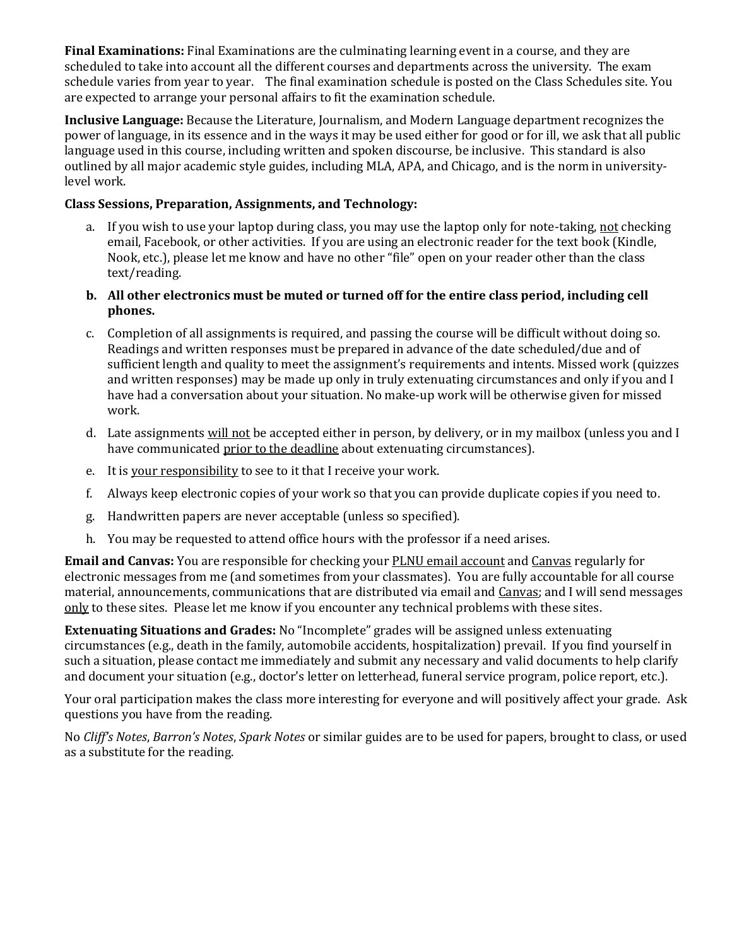**Final Examinations:** Final Examinations are the culminating learning event in a course, and they are scheduled to take into account all the different courses and departments across the university. The exam schedule varies from year to year. The final examination schedule is posted on the Class Schedules site. You are expected to arrange your personal affairs to fit the examination schedule.

**Inclusive Language:** Because the Literature, Journalism, and Modern Language department recognizes the power of language, in its essence and in the ways it may be used either for good or for ill, we ask that all public language used in this course, including written and spoken discourse, be inclusive. This standard is also outlined by all major academic style guides, including MLA, APA, and Chicago, and is the norm in universitylevel work.

### **Class Sessions, Preparation, Assignments, and Technology:**

- a. If you wish to use your laptop during class, you may use the laptop only for note-taking, not checking email, Facebook, or other activities. If you are using an electronic reader for the text book (Kindle, Nook, etc.), please let me know and have no other "file" open on your reader other than the class text/reading.
- **b. All other electronics must be muted or turned off for the entire class period, including cell phones.**
- c. Completion of all assignments is required, and passing the course will be difficult without doing so. Readings and written responses must be prepared in advance of the date scheduled/due and of sufficient length and quality to meet the assignment's requirements and intents. Missed work (quizzes and written responses) may be made up only in truly extenuating circumstances and only if you and I have had a conversation about your situation. No make-up work will be otherwise given for missed work.
- d. Late assignments will not be accepted either in person, by delivery, or in my mailbox (unless you and I have communicated prior to the deadline about extenuating circumstances).
- e. It is your responsibility to see to it that I receive your work.
- f. Always keep electronic copies of your work so that you can provide duplicate copies if you need to.
- g. Handwritten papers are never acceptable (unless so specified).
- h. You may be requested to attend office hours with the professor if a need arises.

**Email and Canvas:** You are responsible for checking your PLNU email account and Canvas regularly for electronic messages from me (and sometimes from your classmates). You are fully accountable for all course material, announcements, communications that are distributed via email and Canvas; and I will send messages only to these sites. Please let me know if you encounter any technical problems with these sites.

**Extenuating Situations and Grades:** No "Incomplete" grades will be assigned unless extenuating circumstances (e.g., death in the family, automobile accidents, hospitalization) prevail. If you find yourself in such a situation, please contact me immediately and submit any necessary and valid documents to help clarify and document your situation (e.g., doctor's letter on letterhead, funeral service program, police report, etc.).

Your oral participation makes the class more interesting for everyone and will positively affect your grade. Ask questions you have from the reading.

No *Cliff's Notes*, *Barron's Notes*, *Spark Notes* or similar guides are to be used for papers, brought to class, or used as a substitute for the reading.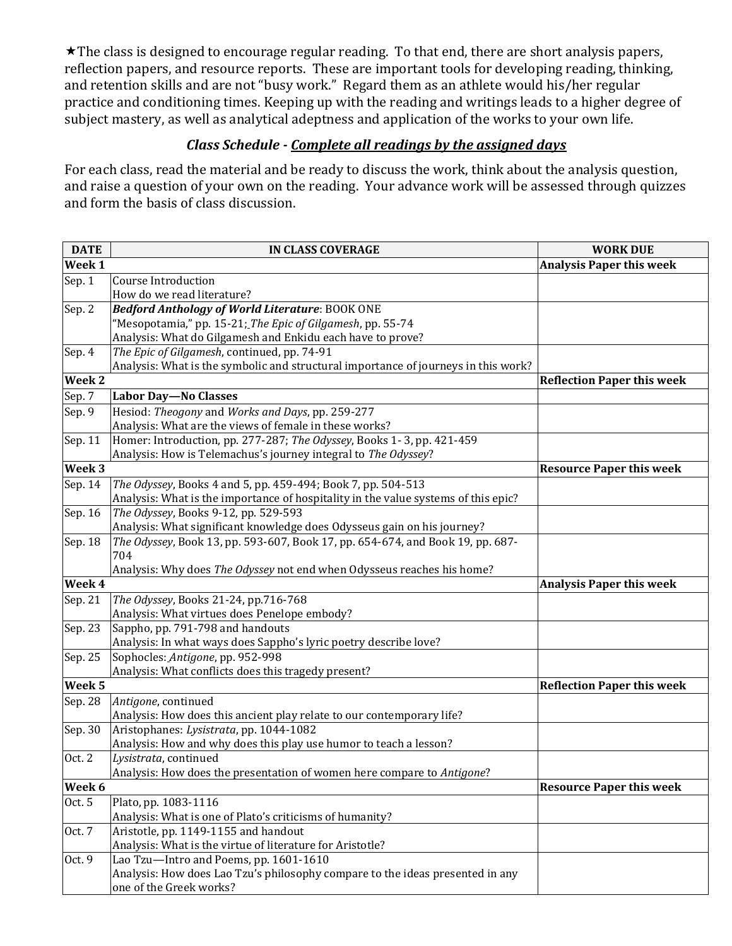\* The class is designed to encourage regular reading. To that end, there are short analysis papers, reflection papers, and resource reports. These are important tools for developing reading, thinking, and retention skills and are not "busy work." Regard them as an athlete would his/her regular practice and conditioning times. Keeping up with the reading and writings leads to a higher degree of subject mastery, as well as analytical adeptness and application of the works to your own life.

## *Class Schedule - Complete all readings by the assigned days*

For each class, read the material and be ready to discuss the work, think about the analysis question, and raise a question of your own on the reading. Your advance work will be assessed through quizzes and form the basis of class discussion.

| <b>DATE</b>       | <b>IN CLASS COVERAGE</b>                                                           | <b>WORK DUE</b>                   |
|-------------------|------------------------------------------------------------------------------------|-----------------------------------|
| Week 1            |                                                                                    | <b>Analysis Paper this week</b>   |
| Sep. 1            | <b>Course Introduction</b>                                                         |                                   |
|                   | How do we read literature?                                                         |                                   |
| Sep. 2            | Bedford Anthology of World Literature: BOOK ONE                                    |                                   |
|                   | "Mesopotamia," pp. 15-21; The Epic of Gilgamesh, pp. 55-74                         |                                   |
|                   | Analysis: What do Gilgamesh and Enkidu each have to prove?                         |                                   |
| Sep. 4            | The Epic of Gilgamesh, continued, pp. 74-91                                        |                                   |
|                   | Analysis: What is the symbolic and structural importance of journeys in this work? |                                   |
| Week 2            |                                                                                    | <b>Reflection Paper this week</b> |
| Sep. 7            | <b>Labor Day-No Classes</b>                                                        |                                   |
| Sep. 9            | Hesiod: Theogony and Works and Days, pp. 259-277                                   |                                   |
|                   | Analysis: What are the views of female in these works?                             |                                   |
| Sep. 11           | Homer: Introduction, pp. 277-287; The Odyssey, Books 1-3, pp. 421-459              |                                   |
|                   | Analysis: How is Telemachus's journey integral to The Odyssey?                     |                                   |
| Week 3            |                                                                                    | <b>Resource Paper this week</b>   |
| Sep. 14           | The Odyssey, Books 4 and 5, pp. 459-494; Book 7, pp. 504-513                       |                                   |
|                   | Analysis: What is the importance of hospitality in the value systems of this epic? |                                   |
| Sep. 16           | The Odyssey, Books 9-12, pp. 529-593                                               |                                   |
|                   | Analysis: What significant knowledge does Odysseus gain on his journey?            |                                   |
| Sep. 18           | The Odyssey, Book 13, pp. 593-607, Book 17, pp. 654-674, and Book 19, pp. 687-     |                                   |
|                   | 704                                                                                |                                   |
|                   | Analysis: Why does The Odyssey not end when Odysseus reaches his home?             |                                   |
| Week 4            |                                                                                    | <b>Analysis Paper this week</b>   |
| Sep. 21           | The Odyssey, Books 21-24, pp.716-768                                               |                                   |
|                   | Analysis: What virtues does Penelope embody?                                       |                                   |
| Sep. 23           | Sappho, pp. 791-798 and handouts                                                   |                                   |
|                   | Analysis: In what ways does Sappho's lyric poetry describe love?                   |                                   |
| Sep. 25           | Sophocles: Antigone, pp. 952-998                                                   |                                   |
|                   | Analysis: What conflicts does this tragedy present?                                |                                   |
| Week <sub>5</sub> |                                                                                    | <b>Reflection Paper this week</b> |
| Sep. 28           | Antigone, continued                                                                |                                   |
|                   | Analysis: How does this ancient play relate to our contemporary life?              |                                   |
| Sep. 30           | Aristophanes: Lysistrata, pp. 1044-1082                                            |                                   |
|                   | Analysis: How and why does this play use humor to teach a lesson?                  |                                   |
| Oct. 2            | Lysistrata, continued                                                              |                                   |
|                   | Analysis: How does the presentation of women here compare to Antigone?             |                                   |
| Week 6            |                                                                                    | <b>Resource Paper this week</b>   |
| Oct. 5            | Plato, pp. 1083-1116                                                               |                                   |
|                   | Analysis: What is one of Plato's criticisms of humanity?                           |                                   |
| Oct. 7            | Aristotle, pp. 1149-1155 and handout                                               |                                   |
|                   | Analysis: What is the virtue of literature for Aristotle?                          |                                   |
| Oct. 9            | Lao Tzu-Intro and Poems, pp. 1601-1610                                             |                                   |
|                   | Analysis: How does Lao Tzu's philosophy compare to the ideas presented in any      |                                   |
|                   | one of the Greek works?                                                            |                                   |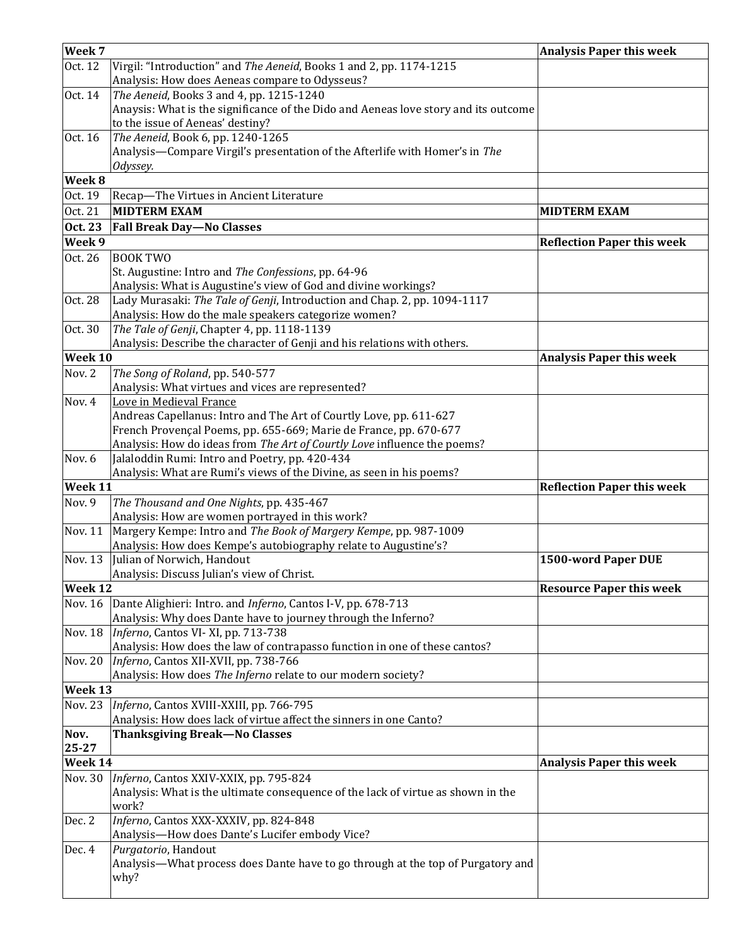| Week 7         |                                                                                     | <b>Analysis Paper this week</b>   |
|----------------|-------------------------------------------------------------------------------------|-----------------------------------|
| Oct. 12        | Virgil: "Introduction" and The Aeneid, Books 1 and 2, pp. 1174-1215                 |                                   |
|                | Analysis: How does Aeneas compare to Odysseus?                                      |                                   |
| Oct. 14        | The Aeneid, Books 3 and 4, pp. 1215-1240                                            |                                   |
|                | Anaysis: What is the significance of the Dido and Aeneas love story and its outcome |                                   |
|                | to the issue of Aeneas' destiny?                                                    |                                   |
| Oct. 16        | The Aeneid, Book 6, pp. 1240-1265                                                   |                                   |
|                | Analysis-Compare Virgil's presentation of the Afterlife with Homer's in The         |                                   |
|                | Odyssey.                                                                            |                                   |
| Week 8         |                                                                                     |                                   |
| Oct. 19        | Recap-The Virtues in Ancient Literature                                             |                                   |
| Oct. 21        | <b>MIDTERM EXAM</b>                                                                 | <b>MIDTERM EXAM</b>               |
| <b>Oct. 23</b> | <b>Fall Break Day-No Classes</b>                                                    |                                   |
| Week 9         |                                                                                     | <b>Reflection Paper this week</b> |
| Oct. 26        | <b>BOOK TWO</b>                                                                     |                                   |
|                | St. Augustine: Intro and The Confessions, pp. 64-96                                 |                                   |
|                | Analysis: What is Augustine's view of God and divine workings?                      |                                   |
| Oct. 28        | Lady Murasaki: The Tale of Genji, Introduction and Chap. 2, pp. 1094-1117           |                                   |
|                | Analysis: How do the male speakers categorize women?                                |                                   |
| Oct. 30        | The Tale of Genji, Chapter 4, pp. 1118-1139                                         |                                   |
|                | Analysis: Describe the character of Genji and his relations with others.            |                                   |
| Week 10        |                                                                                     | <b>Analysis Paper this week</b>   |
| Nov. 2         | The Song of Roland, pp. 540-577                                                     |                                   |
|                | Analysis: What virtues and vices are represented?                                   |                                   |
| Nov. 4         | Love in Medieval France                                                             |                                   |
|                | Andreas Capellanus: Intro and The Art of Courtly Love, pp. 611-627                  |                                   |
|                | French Provençal Poems, pp. 655-669; Marie de France, pp. 670-677                   |                                   |
|                | Analysis: How do ideas from The Art of Courtly Love influence the poems?            |                                   |
| Nov. 6         | Jalaloddin Rumi: Intro and Poetry, pp. 420-434                                      |                                   |
|                | Analysis: What are Rumi's views of the Divine, as seen in his poems?                |                                   |
| Week 11        |                                                                                     | <b>Reflection Paper this week</b> |
| Nov. 9         | The Thousand and One Nights, pp. 435-467                                            |                                   |
|                | Analysis: How are women portrayed in this work?                                     |                                   |
| Nov. 11        | Margery Kempe: Intro and The Book of Margery Kempe, pp. 987-1009                    |                                   |
|                | Analysis: How does Kempe's autobiography relate to Augustine's?                     |                                   |
| Nov. 13        | Julian of Norwich, Handout                                                          | 1500-word Paper DUE               |
|                | Analysis: Discuss Julian's view of Christ.                                          |                                   |
| Week 12        |                                                                                     | <b>Resource Paper this week</b>   |
| Nov. 16        | Dante Alighieri: Intro. and <i>Inferno</i> , Cantos I-V, pp. 678-713                |                                   |
|                | Analysis: Why does Dante have to journey through the Inferno?                       |                                   |
| Nov. 18        | Inferno, Cantos VI-XI, pp. 713-738                                                  |                                   |
|                | Analysis: How does the law of contrapasso function in one of these cantos?          |                                   |
| Nov. 20        | Inferno, Cantos XII-XVII, pp. 738-766                                               |                                   |
|                | Analysis: How does The Inferno relate to our modern society?                        |                                   |
| Week 13        |                                                                                     |                                   |
| <b>Nov. 23</b> | Inferno, Cantos XVIII-XXIII, pp. 766-795                                            |                                   |
|                | Analysis: How does lack of virtue affect the sinners in one Canto?                  |                                   |
| Nov.           | <b>Thanksgiving Break-No Classes</b>                                                |                                   |
| 25-27          |                                                                                     |                                   |
| Week 14        |                                                                                     | <b>Analysis Paper this week</b>   |
| Nov. 30        | Inferno, Cantos XXIV-XXIX, pp. 795-824                                              |                                   |
|                | Analysis: What is the ultimate consequence of the lack of virtue as shown in the    |                                   |
|                | work?                                                                               |                                   |
| Dec. 2         | Inferno, Cantos XXX-XXXIV, pp. 824-848                                              |                                   |
|                | Analysis-How does Dante's Lucifer embody Vice?                                      |                                   |
| Dec. 4         | Purgatorio, Handout                                                                 |                                   |
|                | Analysis—What process does Dante have to go through at the top of Purgatory and     |                                   |
|                | why?                                                                                |                                   |
|                |                                                                                     |                                   |